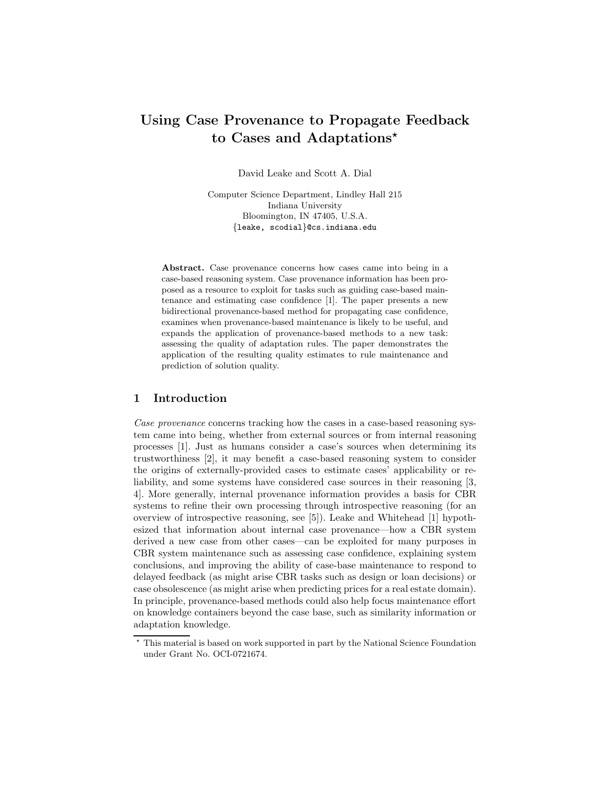# Using Case Provenance to Propagate Feedback to Cases and Adaptations<sup>\*</sup>

David Leake and Scott A. Dial

Computer Science Department, Lindley Hall 215 Indiana University Bloomington, IN 47405, U.S.A. {leake, scodial}@cs.indiana.edu

Abstract. Case provenance concerns how cases came into being in a case-based reasoning system. Case provenance information has been proposed as a resource to exploit for tasks such as guiding case-based maintenance and estimating case confidence [1]. The paper presents a new bidirectional provenance-based method for propagating case confidence, examines when provenance-based maintenance is likely to be useful, and expands the application of provenance-based methods to a new task: assessing the quality of adaptation rules. The paper demonstrates the application of the resulting quality estimates to rule maintenance and prediction of solution quality.

# 1 Introduction

Case provenance concerns tracking how the cases in a case-based reasoning system came into being, whether from external sources or from internal reasoning processes [1]. Just as humans consider a case's sources when determining its trustworthiness [2], it may benefit a case-based reasoning system to consider the origins of externally-provided cases to estimate cases' applicability or reliability, and some systems have considered case sources in their reasoning [3, 4]. More generally, internal provenance information provides a basis for CBR systems to refine their own processing through introspective reasoning (for an overview of introspective reasoning, see [5]). Leake and Whitehead [1] hypothesized that information about internal case provenance—how a CBR system derived a new case from other cases—can be exploited for many purposes in CBR system maintenance such as assessing case confidence, explaining system conclusions, and improving the ability of case-base maintenance to respond to delayed feedback (as might arise CBR tasks such as design or loan decisions) or case obsolescence (as might arise when predicting prices for a real estate domain). In principle, provenance-based methods could also help focus maintenance effort on knowledge containers beyond the case base, such as similarity information or adaptation knowledge.

<sup>⋆</sup> This material is based on work supported in part by the National Science Foundation under Grant No. OCI-0721674.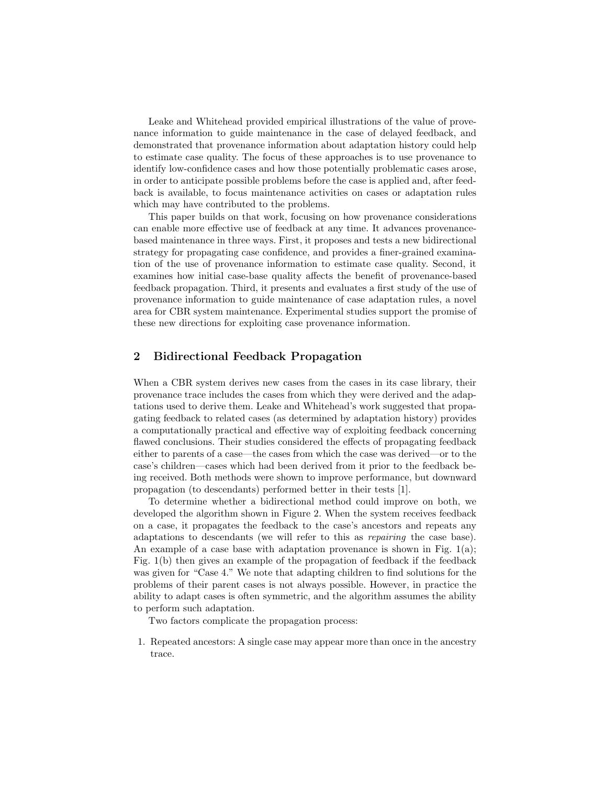Leake and Whitehead provided empirical illustrations of the value of provenance information to guide maintenance in the case of delayed feedback, and demonstrated that provenance information about adaptation history could help to estimate case quality. The focus of these approaches is to use provenance to identify low-confidence cases and how those potentially problematic cases arose, in order to anticipate possible problems before the case is applied and, after feedback is available, to focus maintenance activities on cases or adaptation rules which may have contributed to the problems.

This paper builds on that work, focusing on how provenance considerations can enable more effective use of feedback at any time. It advances provenancebased maintenance in three ways. First, it proposes and tests a new bidirectional strategy for propagating case confidence, and provides a finer-grained examination of the use of provenance information to estimate case quality. Second, it examines how initial case-base quality affects the benefit of provenance-based feedback propagation. Third, it presents and evaluates a first study of the use of provenance information to guide maintenance of case adaptation rules, a novel area for CBR system maintenance. Experimental studies support the promise of these new directions for exploiting case provenance information.

# 2 Bidirectional Feedback Propagation

When a CBR system derives new cases from the cases in its case library, their provenance trace includes the cases from which they were derived and the adaptations used to derive them. Leake and Whitehead's work suggested that propagating feedback to related cases (as determined by adaptation history) provides a computationally practical and effective way of exploiting feedback concerning flawed conclusions. Their studies considered the effects of propagating feedback either to parents of a case—the cases from which the case was derived—or to the case's children—cases which had been derived from it prior to the feedback being received. Both methods were shown to improve performance, but downward propagation (to descendants) performed better in their tests [1].

To determine whether a bidirectional method could improve on both, we developed the algorithm shown in Figure 2. When the system receives feedback on a case, it propagates the feedback to the case's ancestors and repeats any adaptations to descendants (we will refer to this as repairing the case base). An example of a case base with adaptation provenance is shown in Fig.  $1(a)$ ; Fig. 1(b) then gives an example of the propagation of feedback if the feedback was given for "Case 4." We note that adapting children to find solutions for the problems of their parent cases is not always possible. However, in practice the ability to adapt cases is often symmetric, and the algorithm assumes the ability to perform such adaptation.

Two factors complicate the propagation process:

1. Repeated ancestors: A single case may appear more than once in the ancestry trace.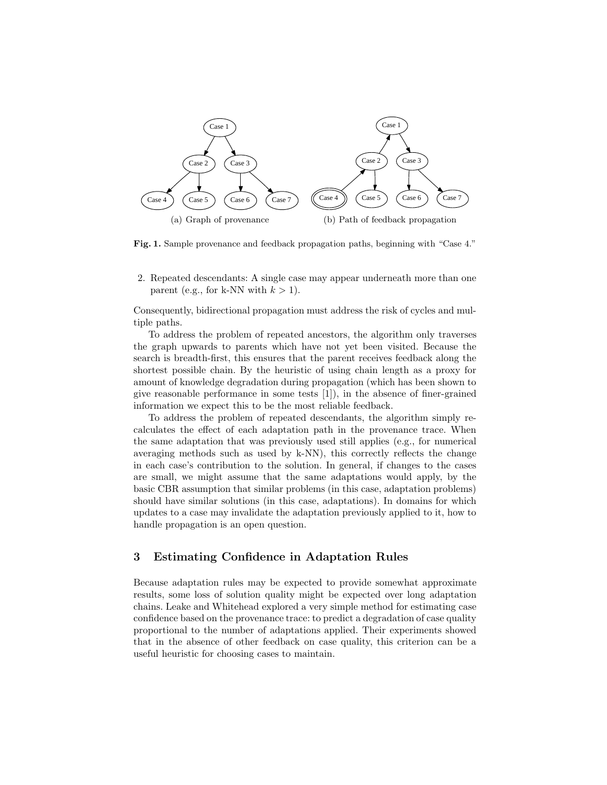

Fig. 1. Sample provenance and feedback propagation paths, beginning with "Case 4."

2. Repeated descendants: A single case may appear underneath more than one parent (e.g., for k-NN with  $k > 1$ ).

Consequently, bidirectional propagation must address the risk of cycles and multiple paths.

To address the problem of repeated ancestors, the algorithm only traverses the graph upwards to parents which have not yet been visited. Because the search is breadth-first, this ensures that the parent receives feedback along the shortest possible chain. By the heuristic of using chain length as a proxy for amount of knowledge degradation during propagation (which has been shown to give reasonable performance in some tests [1]), in the absence of finer-grained information we expect this to be the most reliable feedback.

To address the problem of repeated descendants, the algorithm simply recalculates the effect of each adaptation path in the provenance trace. When the same adaptation that was previously used still applies (e.g., for numerical averaging methods such as used by k-NN), this correctly reflects the change in each case's contribution to the solution. In general, if changes to the cases are small, we might assume that the same adaptations would apply, by the basic CBR assumption that similar problems (in this case, adaptation problems) should have similar solutions (in this case, adaptations). In domains for which updates to a case may invalidate the adaptation previously applied to it, how to handle propagation is an open question.

## 3 Estimating Confidence in Adaptation Rules

Because adaptation rules may be expected to provide somewhat approximate results, some loss of solution quality might be expected over long adaptation chains. Leake and Whitehead explored a very simple method for estimating case confidence based on the provenance trace: to predict a degradation of case quality proportional to the number of adaptations applied. Their experiments showed that in the absence of other feedback on case quality, this criterion can be a useful heuristic for choosing cases to maintain.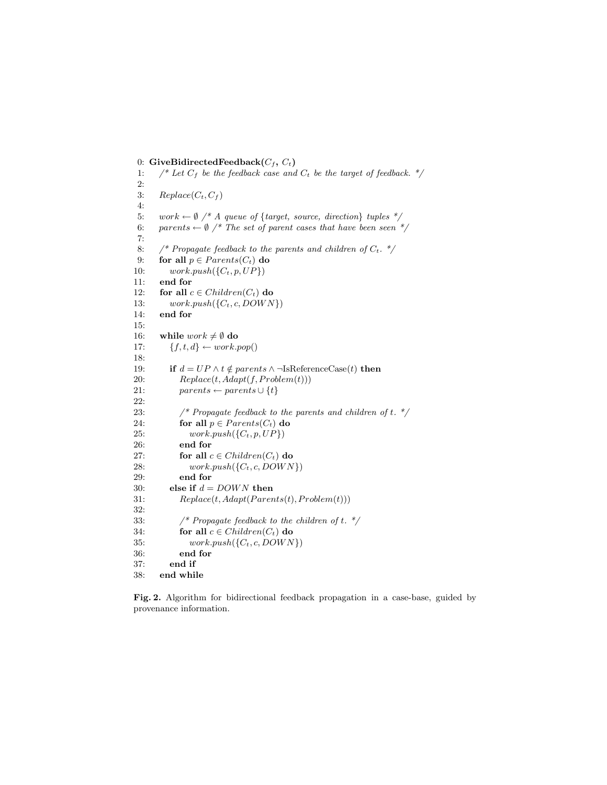0: GiveBidirectedFeedback $(C_f, C_t)$ 

1:  $\frac{1}{\epsilon}$  Let  $C_f$  be the feedback case and  $C_t$  be the target of feedback. \*/ 2: 3:  $Replace(C_t, C_f)$ 4: 5: work  $\leftarrow \emptyset$  /\* A queue of {target, source, direction} tuples \*/ 6: parents  $\leftarrow \emptyset$  /\* The set of parent cases that have been seen \*/ 7: 8:  $\frac{\partial^* f}{\partial x^*}$  Propagate feedback to the parents and children of  $C_t$ .  $\frac{\partial^* f}{\partial x^*}$ 9: for all  $p \in Parents(C_t)$  do 10:  $work.push({C_t, p, UP})$ 11: end for 12: for all  $c \in Children(C_t)$  do 13:  $work.push({C_t, c, DOMN})$ 14: end for 15: 16: while  $work \neq \emptyset$  do 17:  $\{f, t, d\} \leftarrow work.pop()$ 18: 19: if  $d = UP \wedge t \notin parents \wedge \neg IsReferenceCase(t)$  then 20:  $Replace(t, Adapt(f, Problem(t)))$ 21:  $parents \leftarrow parents \cup \{t\}$ 22: 23:  $\frac{1}{2}$  /\* Propagate feedback to the parents and children of t. \*/ 24: for all  $p \in Parents(C_t)$  do 25: work.push( $\{C_t, p, UP\}$ ) 26: end for 27: for all  $c \in Children(C_t)$  do 28:  $work.push({C_t, c, DOWN})$ 29: end for 30: else if  $d = DOWN$  then 31:  $Replace(t, Adapt(Parents(t), Problem(t)))$ 32: 33:  $\frac{\sqrt{2}}{2}$  Propagate feedback to the children of t. \*/ 34: for all  $c \in Children(C_t)$  do 35:  $work.push({C_t, c, DOMN})$ 36: end for 37: end if 38: end while

Fig. 2. Algorithm for bidirectional feedback propagation in a case-base, guided by provenance information.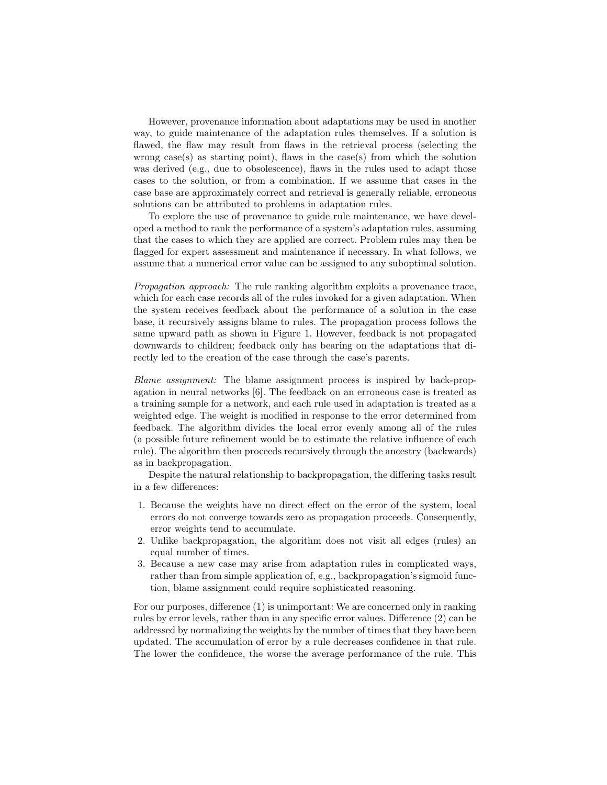However, provenance information about adaptations may be used in another way, to guide maintenance of the adaptation rules themselves. If a solution is flawed, the flaw may result from flaws in the retrieval process (selecting the wrong case(s) as starting point), flaws in the case(s) from which the solution was derived (e.g., due to obsolescence), flaws in the rules used to adapt those cases to the solution, or from a combination. If we assume that cases in the case base are approximately correct and retrieval is generally reliable, erroneous solutions can be attributed to problems in adaptation rules.

To explore the use of provenance to guide rule maintenance, we have developed a method to rank the performance of a system's adaptation rules, assuming that the cases to which they are applied are correct. Problem rules may then be flagged for expert assessment and maintenance if necessary. In what follows, we assume that a numerical error value can be assigned to any suboptimal solution.

Propagation approach: The rule ranking algorithm exploits a provenance trace, which for each case records all of the rules invoked for a given adaptation. When the system receives feedback about the performance of a solution in the case base, it recursively assigns blame to rules. The propagation process follows the same upward path as shown in Figure 1. However, feedback is not propagated downwards to children; feedback only has bearing on the adaptations that directly led to the creation of the case through the case's parents.

Blame assignment: The blame assignment process is inspired by back-propagation in neural networks [6]. The feedback on an erroneous case is treated as a training sample for a network, and each rule used in adaptation is treated as a weighted edge. The weight is modified in response to the error determined from feedback. The algorithm divides the local error evenly among all of the rules (a possible future refinement would be to estimate the relative influence of each rule). The algorithm then proceeds recursively through the ancestry (backwards) as in backpropagation.

Despite the natural relationship to backpropagation, the differing tasks result in a few differences:

- 1. Because the weights have no direct effect on the error of the system, local errors do not converge towards zero as propagation proceeds. Consequently, error weights tend to accumulate.
- 2. Unlike backpropagation, the algorithm does not visit all edges (rules) an equal number of times.
- 3. Because a new case may arise from adaptation rules in complicated ways, rather than from simple application of, e.g., backpropagation's sigmoid function, blame assignment could require sophisticated reasoning.

For our purposes, difference (1) is unimportant: We are concerned only in ranking rules by error levels, rather than in any specific error values. Difference (2) can be addressed by normalizing the weights by the number of times that they have been updated. The accumulation of error by a rule decreases confidence in that rule. The lower the confidence, the worse the average performance of the rule. This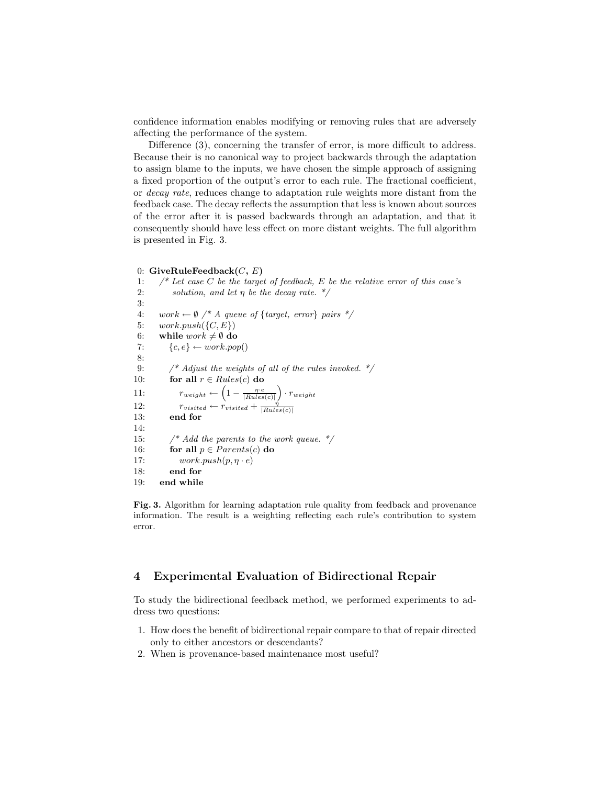confidence information enables modifying or removing rules that are adversely affecting the performance of the system.

Difference  $(3)$ , concerning the transfer of error, is more difficult to address. Because their is no canonical way to project backwards through the adaptation to assign blame to the inputs, we have chosen the simple approach of assigning a fixed proportion of the output's error to each rule. The fractional coefficient, or decay rate, reduces change to adaptation rule weights more distant from the feedback case. The decay reflects the assumption that less is known about sources of the error after it is passed backwards through an adaptation, and that it consequently should have less effect on more distant weights. The full algorithm is presented in Fig. 3.

#### 0: GiveRuleFeedback $(C, E)$

1:  $\frac{1}{2}$  /\* Let case C be the target of feedback, E be the relative error of this case's 2: solution, and let  $\eta$  be the decay rate.  $*/$ 3: 4: work  $\leftarrow \emptyset$  /\* A queue of {target, error} pairs \*/ 5:  $work.push({C, E})$ 6: while  $work \neq \emptyset$  do 7:  $\{c, e\} \leftarrow work.pop()$ 8: 9:  $\frac{\partial^*}{\partial s}$  /\* Adjust the weights of all of the rules invoked. \*/ 10: for all  $r \in Rules(c)$  do 11:  $r_{weight} \leftarrow \left(1 - \frac{\eta \cdot e}{|Rules(c)|}\right) \cdot r_{weight}$ 12:  $r_{visited} \leftarrow r_{visited} + \frac{\dot{\eta}}{|Rules(c)|}$ 13: end for 14: 15:  $\frac{1}{2}$  /\* Add the parents to the work queue. \*/ 16: for all  $p \in Parents(c)$  do 17:  $work.push(p, \eta \cdot e)$ 18: end for 19: end while

Fig. 3. Algorithm for learning adaptation rule quality from feedback and provenance information. The result is a weighting reflecting each rule's contribution to system error.

### 4 Experimental Evaluation of Bidirectional Repair

To study the bidirectional feedback method, we performed experiments to address two questions:

- 1. How does the benefit of bidirectional repair compare to that of repair directed only to either ancestors or descendants?
- 2. When is provenance-based maintenance most useful?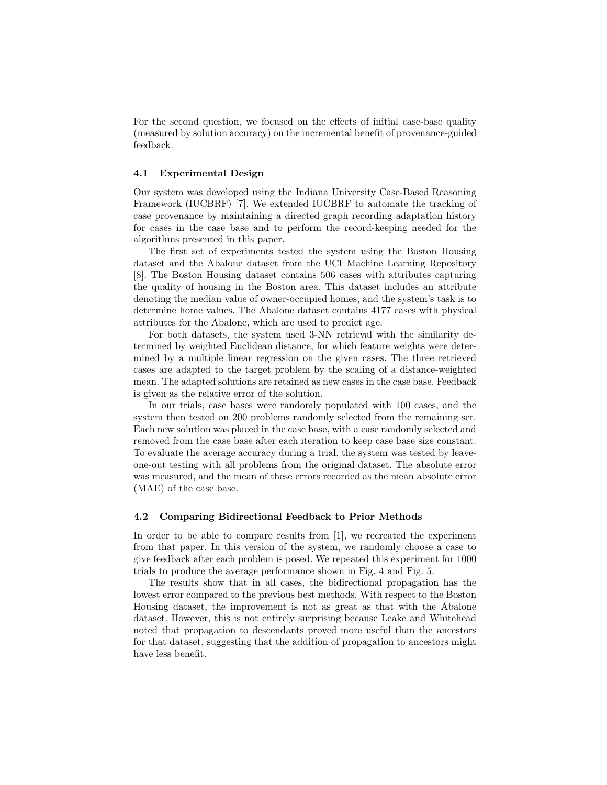For the second question, we focused on the effects of initial case-base quality (measured by solution accuracy) on the incremental benefit of provenance-guided feedback.

#### 4.1 Experimental Design

Our system was developed using the Indiana University Case-Based Reasoning Framework (IUCBRF) [7]. We extended IUCBRF to automate the tracking of case provenance by maintaining a directed graph recording adaptation history for cases in the case base and to perform the record-keeping needed for the algorithms presented in this paper.

The first set of experiments tested the system using the Boston Housing dataset and the Abalone dataset from the UCI Machine Learning Repository [8]. The Boston Housing dataset contains 506 cases with attributes capturing the quality of housing in the Boston area. This dataset includes an attribute denoting the median value of owner-occupied homes, and the system's task is to determine home values. The Abalone dataset contains 4177 cases with physical attributes for the Abalone, which are used to predict age.

For both datasets, the system used 3-NN retrieval with the similarity determined by weighted Euclidean distance, for which feature weights were determined by a multiple linear regression on the given cases. The three retrieved cases are adapted to the target problem by the scaling of a distance-weighted mean. The adapted solutions are retained as new cases in the case base. Feedback is given as the relative error of the solution.

In our trials, case bases were randomly populated with 100 cases, and the system then tested on 200 problems randomly selected from the remaining set. Each new solution was placed in the case base, with a case randomly selected and removed from the case base after each iteration to keep case base size constant. To evaluate the average accuracy during a trial, the system was tested by leaveone-out testing with all problems from the original dataset. The absolute error was measured, and the mean of these errors recorded as the mean absolute error (MAE) of the case base.

#### 4.2 Comparing Bidirectional Feedback to Prior Methods

In order to be able to compare results from [1], we recreated the experiment from that paper. In this version of the system, we randomly choose a case to give feedback after each problem is posed. We repeated this experiment for 1000 trials to produce the average performance shown in Fig. 4 and Fig. 5.

The results show that in all cases, the bidirectional propagation has the lowest error compared to the previous best methods. With respect to the Boston Housing dataset, the improvement is not as great as that with the Abalone dataset. However, this is not entirely surprising because Leake and Whitehead noted that propagation to descendants proved more useful than the ancestors for that dataset, suggesting that the addition of propagation to ancestors might have less benefit.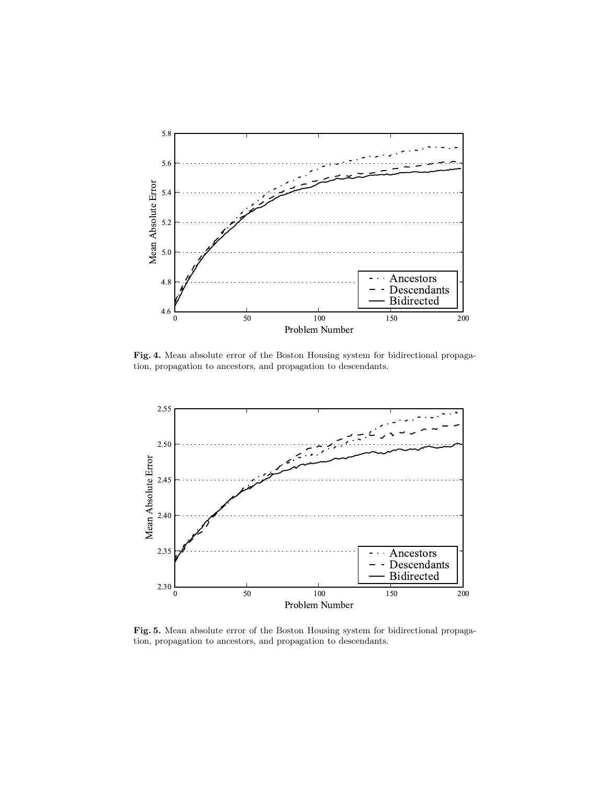

Fig. 4. Mean absolute error of the Boston Housing system for bidirectional propagation, propagation to ancestors, and propagation to descendants.



Fig. 5. Mean absolute error of the Boston Housing system for bidirectional propagation, propagation to ancestors, and propagation to descendants.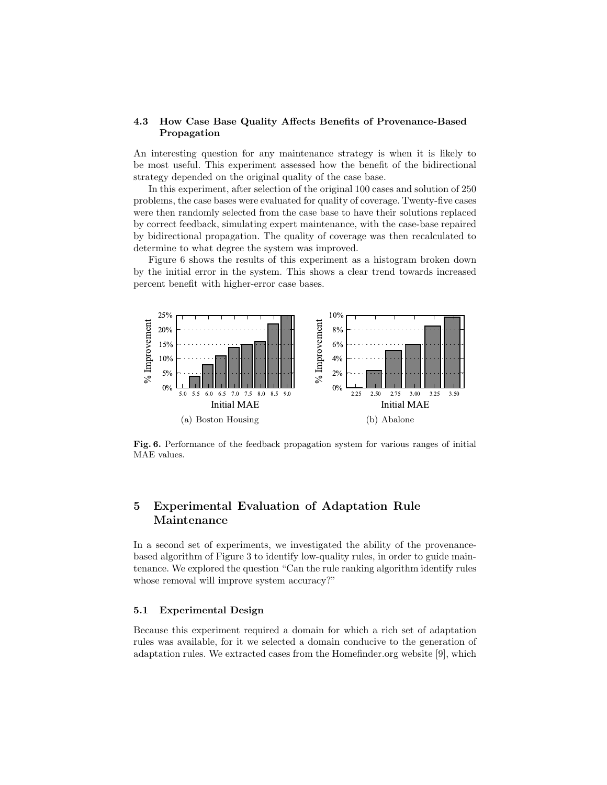### 4.3 How Case Base Quality Affects Benefits of Provenance-Based Propagation

An interesting question for any maintenance strategy is when it is likely to be most useful. This experiment assessed how the benefit of the bidirectional strategy depended on the original quality of the case base.

In this experiment, after selection of the original 100 cases and solution of 250 problems, the case bases were evaluated for quality of coverage. Twenty-five cases were then randomly selected from the case base to have their solutions replaced by correct feedback, simulating expert maintenance, with the case-base repaired by bidirectional propagation. The quality of coverage was then recalculated to determine to what degree the system was improved.

Figure 6 shows the results of this experiment as a histogram broken down by the initial error in the system. This shows a clear trend towards increased percent benefit with higher-error case bases.



Fig. 6. Performance of the feedback propagation system for various ranges of initial MAE values.

# 5 Experimental Evaluation of Adaptation Rule Maintenance

In a second set of experiments, we investigated the ability of the provenancebased algorithm of Figure 3 to identify low-quality rules, in order to guide maintenance. We explored the question "Can the rule ranking algorithm identify rules whose removal will improve system accuracy?"

### 5.1 Experimental Design

Because this experiment required a domain for which a rich set of adaptation rules was available, for it we selected a domain conducive to the generation of adaptation rules. We extracted cases from the Homefinder.org website [9], which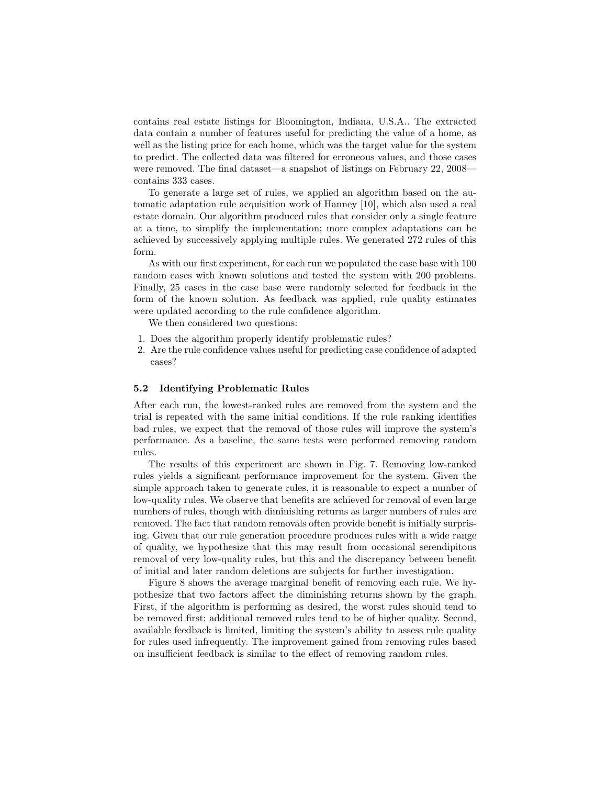contains real estate listings for Bloomington, Indiana, U.S.A.. The extracted data contain a number of features useful for predicting the value of a home, as well as the listing price for each home, which was the target value for the system to predict. The collected data was filtered for erroneous values, and those cases were removed. The final dataset—a snapshot of listings on February 22, 2008 contains 333 cases.

To generate a large set of rules, we applied an algorithm based on the automatic adaptation rule acquisition work of Hanney [10], which also used a real estate domain. Our algorithm produced rules that consider only a single feature at a time, to simplify the implementation; more complex adaptations can be achieved by successively applying multiple rules. We generated 272 rules of this form.

As with our first experiment, for each run we populated the case base with 100 random cases with known solutions and tested the system with 200 problems. Finally, 25 cases in the case base were randomly selected for feedback in the form of the known solution. As feedback was applied, rule quality estimates were updated according to the rule confidence algorithm.

We then considered two questions:

- 1. Does the algorithm properly identify problematic rules?
- 2. Are the rule confidence values useful for predicting case confidence of adapted cases?

#### 5.2 Identifying Problematic Rules

After each run, the lowest-ranked rules are removed from the system and the trial is repeated with the same initial conditions. If the rule ranking identifies bad rules, we expect that the removal of those rules will improve the system's performance. As a baseline, the same tests were performed removing random rules.

The results of this experiment are shown in Fig. 7. Removing low-ranked rules yields a significant performance improvement for the system. Given the simple approach taken to generate rules, it is reasonable to expect a number of low-quality rules. We observe that benefits are achieved for removal of even large numbers of rules, though with diminishing returns as larger numbers of rules are removed. The fact that random removals often provide benefit is initially surprising. Given that our rule generation procedure produces rules with a wide range of quality, we hypothesize that this may result from occasional serendipitous removal of very low-quality rules, but this and the discrepancy between benefit of initial and later random deletions are subjects for further investigation.

Figure 8 shows the average marginal benefit of removing each rule. We hypothesize that two factors affect the diminishing returns shown by the graph. First, if the algorithm is performing as desired, the worst rules should tend to be removed first; additional removed rules tend to be of higher quality. Second, available feedback is limited, limiting the system's ability to assess rule quality for rules used infrequently. The improvement gained from removing rules based on insufficient feedback is similar to the effect of removing random rules.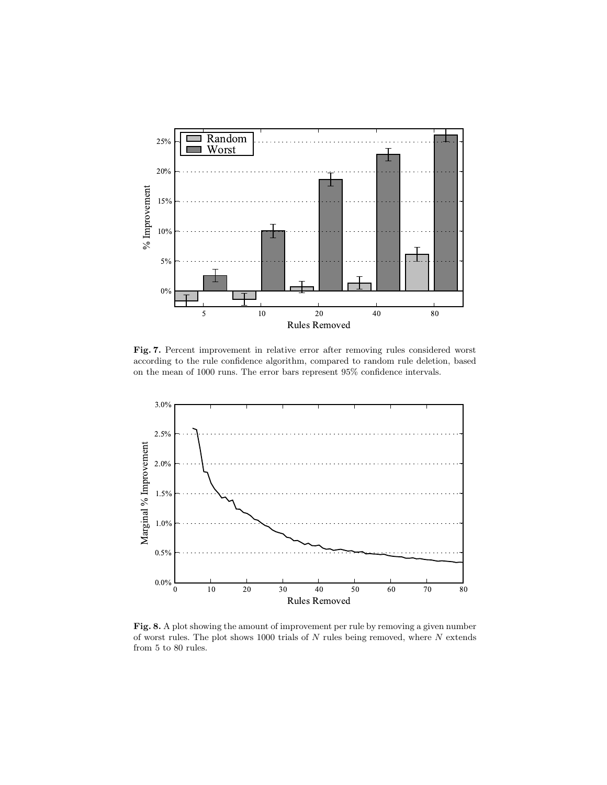

Fig. 7. Percent improvement in relative error after removing rules considered worst according to the rule confidence algorithm, compared to random rule deletion, based on the mean of 1000 runs. The error bars represent 95% confidence intervals.



Fig. 8. A plot showing the amount of improvement per rule by removing a given number of worst rules. The plot shows 1000 trials of  $N$  rules being removed, where  $N$  extends from 5 to 80 rules.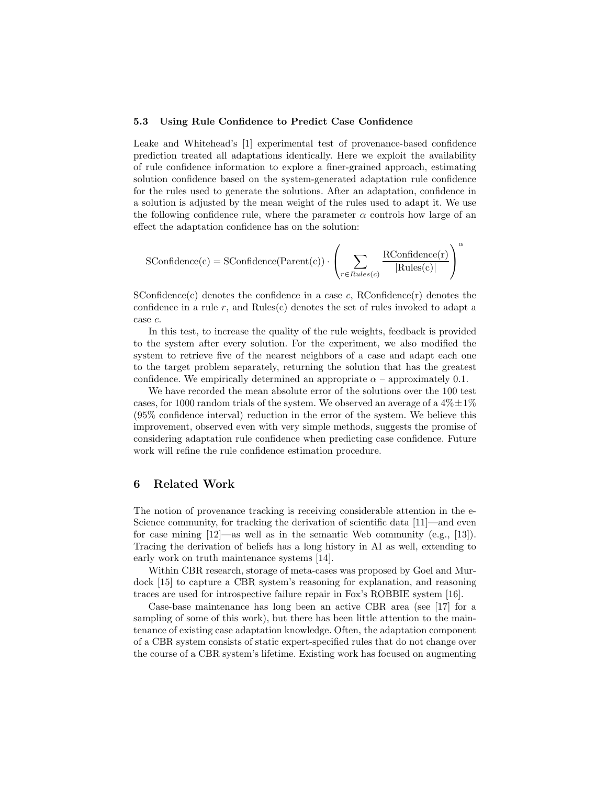#### 5.3 Using Rule Confidence to Predict Case Confidence

Leake and Whitehead's [1] experimental test of provenance-based confidence prediction treated all adaptations identically. Here we exploit the availability of rule confidence information to explore a finer-grained approach, estimating solution confidence based on the system-generated adaptation rule confidence for the rules used to generate the solutions. After an adaptation, confidence in a solution is adjusted by the mean weight of the rules used to adapt it. We use the following confidence rule, where the parameter  $\alpha$  controls how large of an effect the adaptation confidence has on the solution:

$$
\text{SConfidence}(c) = \text{SConfidence}(\text{Parent}(c)) \cdot \left(\sum_{r \in \text{Rules}(c)} \frac{\text{RConfidence}(r)}{|\text{Rules}(c)|}\right)^{\alpha}
$$

SConfidence(c) denotes the confidence in a case c, RConfidence(r) denotes the confidence in a rule  $r$ , and Rules $(c)$  denotes the set of rules invoked to adapt a case c.

In this test, to increase the quality of the rule weights, feedback is provided to the system after every solution. For the experiment, we also modified the system to retrieve five of the nearest neighbors of a case and adapt each one to the target problem separately, returning the solution that has the greatest confidence. We empirically determined an appropriate  $\alpha$  – approximately 0.1.

We have recorded the mean absolute error of the solutions over the 100 test cases, for 1000 random trials of the system. We observed an average of a  $4\% \pm 1\%$ (95% confidence interval) reduction in the error of the system. We believe this improvement, observed even with very simple methods, suggests the promise of considering adaptation rule confidence when predicting case confidence. Future work will refine the rule confidence estimation procedure.

## 6 Related Work

The notion of provenance tracking is receiving considerable attention in the e-Science community, for tracking the derivation of scientific data [11]—and even for case mining [12]—as well as in the semantic Web community (e.g., [13]). Tracing the derivation of beliefs has a long history in AI as well, extending to early work on truth maintenance systems [14].

Within CBR research, storage of meta-cases was proposed by Goel and Murdock [15] to capture a CBR system's reasoning for explanation, and reasoning traces are used for introspective failure repair in Fox's ROBBIE system [16].

Case-base maintenance has long been an active CBR area (see [17] for a sampling of some of this work), but there has been little attention to the maintenance of existing case adaptation knowledge. Often, the adaptation component of a CBR system consists of static expert-specified rules that do not change over the course of a CBR system's lifetime. Existing work has focused on augmenting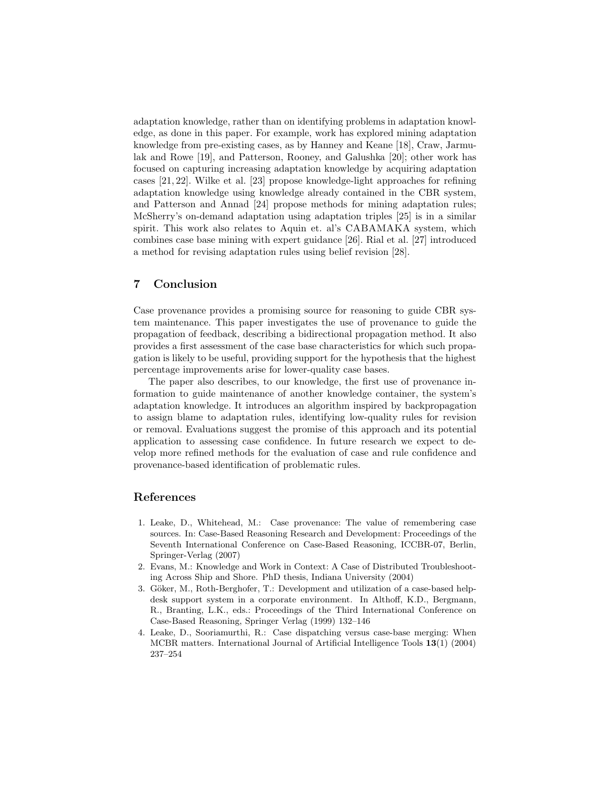adaptation knowledge, rather than on identifying problems in adaptation knowledge, as done in this paper. For example, work has explored mining adaptation knowledge from pre-existing cases, as by Hanney and Keane [18], Craw, Jarmulak and Rowe [19], and Patterson, Rooney, and Galushka [20]; other work has focused on capturing increasing adaptation knowledge by acquiring adaptation cases [21, 22]. Wilke et al. [23] propose knowledge-light approaches for refining adaptation knowledge using knowledge already contained in the CBR system, and Patterson and Annad [24] propose methods for mining adaptation rules; McSherry's on-demand adaptation using adaptation triples [25] is in a similar spirit. This work also relates to Aquin et. al's CABAMAKA system, which combines case base mining with expert guidance [26]. Rial et al. [27] introduced a method for revising adaptation rules using belief revision [28].

# 7 Conclusion

Case provenance provides a promising source for reasoning to guide CBR system maintenance. This paper investigates the use of provenance to guide the propagation of feedback, describing a bidirectional propagation method. It also provides a first assessment of the case base characteristics for which such propagation is likely to be useful, providing support for the hypothesis that the highest percentage improvements arise for lower-quality case bases.

The paper also describes, to our knowledge, the first use of provenance information to guide maintenance of another knowledge container, the system's adaptation knowledge. It introduces an algorithm inspired by backpropagation to assign blame to adaptation rules, identifying low-quality rules for revision or removal. Evaluations suggest the promise of this approach and its potential application to assessing case confidence. In future research we expect to develop more refined methods for the evaluation of case and rule confidence and provenance-based identification of problematic rules.

### References

- 1. Leake, D., Whitehead, M.: Case provenance: The value of remembering case sources. In: Case-Based Reasoning Research and Development: Proceedings of the Seventh International Conference on Case-Based Reasoning, ICCBR-07, Berlin, Springer-Verlag (2007)
- 2. Evans, M.: Knowledge and Work in Context: A Case of Distributed Troubleshooting Across Ship and Shore. PhD thesis, Indiana University (2004)
- 3. Göker, M., Roth-Berghofer, T.: Development and utilization of a case-based helpdesk support system in a corporate environment. In Althoff, K.D., Bergmann, R., Branting, L.K., eds.: Proceedings of the Third International Conference on Case-Based Reasoning, Springer Verlag (1999) 132–146
- 4. Leake, D., Sooriamurthi, R.: Case dispatching versus case-base merging: When MCBR matters. International Journal of Artificial Intelligence Tools 13(1) (2004) 237–254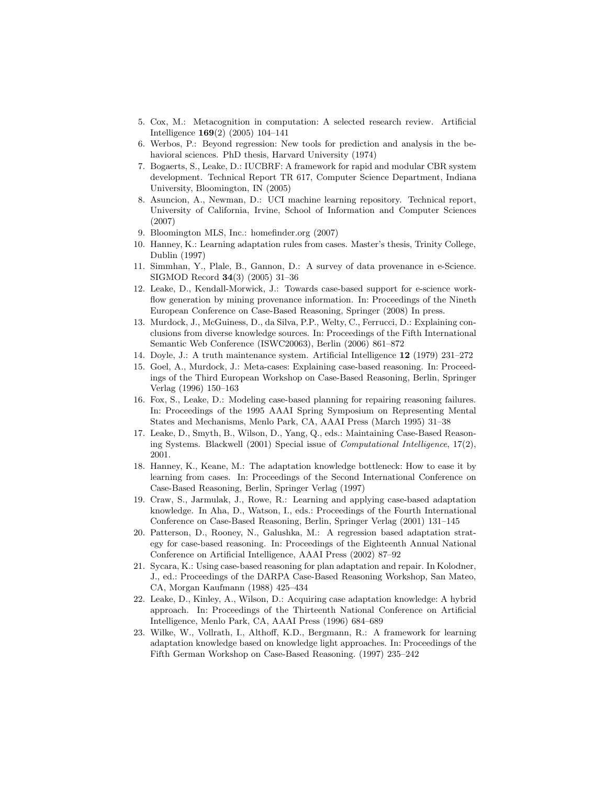- 5. Cox, M.: Metacognition in computation: A selected research review. Artificial Intelligence 169(2) (2005) 104–141
- 6. Werbos, P.: Beyond regression: New tools for prediction and analysis in the behavioral sciences. PhD thesis, Harvard University (1974)
- 7. Bogaerts, S., Leake, D.: IUCBRF: A framework for rapid and modular CBR system development. Technical Report TR 617, Computer Science Department, Indiana University, Bloomington, IN (2005)
- 8. Asuncion, A., Newman, D.: UCI machine learning repository. Technical report, University of California, Irvine, School of Information and Computer Sciences (2007)
- 9. Bloomington MLS, Inc.: homefinder.org (2007)
- 10. Hanney, K.: Learning adaptation rules from cases. Master's thesis, Trinity College, Dublin (1997)
- 11. Simmhan, Y., Plale, B., Gannon, D.: A survey of data provenance in e-Science. SIGMOD Record 34(3) (2005) 31–36
- 12. Leake, D., Kendall-Morwick, J.: Towards case-based support for e-science workflow generation by mining provenance information. In: Proceedings of the Nineth European Conference on Case-Based Reasoning, Springer (2008) In press.
- 13. Murdock, J., McGuiness, D., da Silva, P.P., Welty, C., Ferrucci, D.: Explaining conclusions from diverse knowledge sources. In: Proceedings of the Fifth International Semantic Web Conference (ISWC20063), Berlin (2006) 861–872
- 14. Doyle, J.: A truth maintenance system. Artificial Intelligence 12 (1979) 231–272
- 15. Goel, A., Murdock, J.: Meta-cases: Explaining case-based reasoning. In: Proceedings of the Third European Workshop on Case-Based Reasoning, Berlin, Springer Verlag (1996) 150–163
- 16. Fox, S., Leake, D.: Modeling case-based planning for repairing reasoning failures. In: Proceedings of the 1995 AAAI Spring Symposium on Representing Mental States and Mechanisms, Menlo Park, CA, AAAI Press (March 1995) 31–38
- 17. Leake, D., Smyth, B., Wilson, D., Yang, Q., eds.: Maintaining Case-Based Reasoning Systems. Blackwell (2001) Special issue of Computational Intelligence, 17(2), 2001.
- 18. Hanney, K., Keane, M.: The adaptation knowledge bottleneck: How to ease it by learning from cases. In: Proceedings of the Second International Conference on Case-Based Reasoning, Berlin, Springer Verlag (1997)
- 19. Craw, S., Jarmulak, J., Rowe, R.: Learning and applying case-based adaptation knowledge. In Aha, D., Watson, I., eds.: Proceedings of the Fourth International Conference on Case-Based Reasoning, Berlin, Springer Verlag (2001) 131–145
- 20. Patterson, D., Rooney, N., Galushka, M.: A regression based adaptation strategy for case-based reasoning. In: Proceedings of the Eighteenth Annual National Conference on Artificial Intelligence, AAAI Press (2002) 87–92
- 21. Sycara, K.: Using case-based reasoning for plan adaptation and repair. In Kolodner, J., ed.: Proceedings of the DARPA Case-Based Reasoning Workshop, San Mateo, CA, Morgan Kaufmann (1988) 425–434
- 22. Leake, D., Kinley, A., Wilson, D.: Acquiring case adaptation knowledge: A hybrid approach. In: Proceedings of the Thirteenth National Conference on Artificial Intelligence, Menlo Park, CA, AAAI Press (1996) 684–689
- 23. Wilke, W., Vollrath, I., Althoff, K.D., Bergmann, R.: A framework for learning adaptation knowledge based on knowledge light approaches. In: Proceedings of the Fifth German Workshop on Case-Based Reasoning. (1997) 235–242